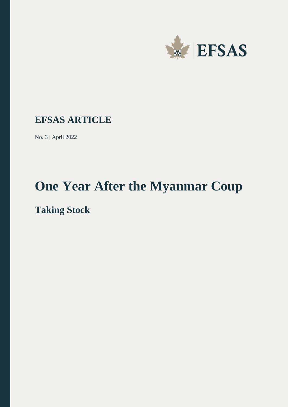

### **EFSAS ARTICLE**

No. 3 | April 2022

# **One Year After the Myanmar Coup**

## **Taking Stock**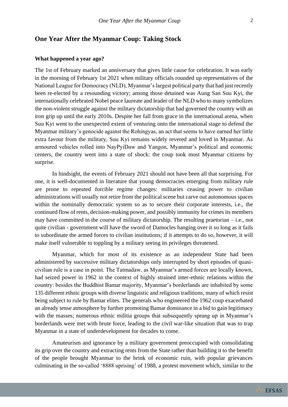#### **One Year After the Myanmar Coup: Taking Stock**

#### **What happened a year ago?**

The 1st of February marked an anniversary that gives little cause for celebration. It was early in the morning of February 1st 2021 when military officials rounded up representatives of the National League for Democracy (NLD), Myanmar's largest political party that had just recently been re-elected by a resounding victory; among those detained was Aung San Suu Kyi, the internationally celebrated Nobel peace laureate and leader of the NLD who to many symbolizes the non-violent struggle against the military dictatorship that had governed the country with an iron grip up until the early 2010s. Despite her fall from grace in the international arena, when Suu Kyi went to the unexpected extent of venturing onto the international stage to defend the Myanmar military's genocide against the Rohingyas, an act that seems to have earned her little extra favour from the military, Suu Kyi remains widely revered and loved in Myanmar. As armoured vehicles rolled into NayPyiDaw and Yangon, Myanmar's political and economic centers, the country went into a state of shock: the coup took most Myanmar citizens by surprise.

In hindsight, the events of February 2021 should not have been all that surprising. For one, it is well-documented in literature that young democracies emerging from military rule are prone to repeated forcible regime changes: militaries ceasing power to civilian administrations will usually not retire from the political scene but carve out autonomous spaces within the nominally democratic system so as to secure their corporate interests, i.e., the continued flow of rents, decision-making power, and possibly immunity for crimes its members may have committed in the course of military dictatorship. The resulting praetorian  $-$  i.e., not quite civilian - government will have the sword of Damocles hanging over it so long as it fails to subordinate the armed forces to civilian institutions; if it attempts to do so, however, it will make itself vulnerable to toppling by a military seeing its privileges threatened.

Myanmar, which for most of its existence as an independent State had been administered by successive military dictatorships only interrupted by short episodes of quasicivilian rule is a case in point. The Tatmadaw, as Myanmar's armed forces are locally known, had seized power in 1962 in the context of highly strained inter-ethnic relations within the country: besides the Buddhist Bamar majority, Myanmar's borderlands are inhabited by some 135 different ethnic groups with diverse linguistic and religious traditions, many of which resist being subject to rule by Bamar elites. The generals who engineered the 1962 coup exacerbated an already tense atmosphere by further promoting Bamar dominance in a bid to gain legitimacy with the masses; numerous ethnic militia groups that subsequently sprang up in Myanmar's borderlands were met with brute force, leading to the civil war-like situation that was to trap Myanmar in a state of underdevelopment for decades to come.

Amateurism and ignorance by a military government preoccupied with consolidating its grip over the country and extracting rents from the State rather than building it to the benefit of the people brought Myanmar to the brink of economic ruin, with popular grievances culminating in the so-called '8888 uprising' of 1988, a protest movement which, similar to the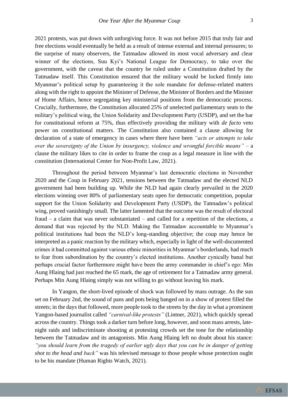2021 protests, was put down with unforgiving force. It was not before 2015 that truly fair and free elections would eventually be held as a result of intense external and internal pressures; to the surprise of many observers, the Tatmadaw allowed its most vocal adversary and clear winner of the elections, Suu Kyi's National League for Democracy, to take over the government, with the caveat that the country be ruled under a Constitution drafted by the Tatmadaw itself. This Constitution ensured that the military would be locked firmly into Myanmar's political setup by guaranteeing it the sole mandate for defense-related matters along with the right to appoint the Minister of Defense, the Minister of Borders and the Minister of Home Affairs, hence segregating key ministerial positions from the democratic process. Crucially, furthermore, the Constitution allocated 25% of unelected parliamentary seats to the military's political wing, the Union Solidarity and Development Party (USDP), and set the bar for constitutional reform at 75%, thus effectively providing the military with *de facto* veto power on constitutional matters. The Constitution also contained a clause allowing for declaration of a state of emergency in cases where there have been *"acts or attempts to take over the sovereignty of the Union by insurgency, violence and wrongful forcible means"* – a clause the military likes to cite in order to frame the coup as a legal measure in line with the constitution (International Center for Non-Profit Law, 2021).

Throughout the period between Myanmar's last democratic elections in November 2020 and the Coup in February 2021, tensions between the Tatmadaw and the elected NLD government had been building up. While the NLD had again clearly prevailed in the 2020 elections winning over 80% of parliamentary seats open for democratic competition, popular support for the Union Solidarity and Development Party (USDP), the Tatmadaw's political wing, proved vanishingly small. The latter lamented that the outcome was the result of electoral fraud – a claim that was never substantiated – and called for a repetition of the elections, a demand that was rejected by the NLD. Making the Tatmadaw accountable to Myanmar's political institutions had been the NLD's long-standing objective; the coup may hence be interpreted as a panic reaction by the military which, especially in light of the well-documented crimes it had committed against various ethnic minorities in Myanmar's borderlands, had much to fear from subordination by the country's elected institutions. Another cynically banal but perhaps crucial factor furthermore might have been the army commander in chief's ego: Min Aung Hlaing had just reached the 65 mark, the age of retirement for a Tatmadaw army general. Perhaps Min Aung Hlaing simply was not willing to go without leaving his mark.

In Yangon, the short-lived episode of shock was followed by mass outrage. As the sun set on February 2nd, the sound of pans and pots being banged on in a show of protest filled the streets; in the days that followed, more people took to the streets by the day in what a prominent Yangon-based journalist called *"carnival-like protests"* (Lintner, 2021), which quickly spread across the country. Things took a darker turn before long, however, and soon mass arrests, latenight raids and indiscriminate shooting at protesting crowds set the tone for the relationship between the Tatmadaw and its antagonists. Min Aung Hlaing left no doubt about his stance: *"you should learn from the tragedy of earlier ugly days that you can be in danger of getting shot to the head and back"* was his televised message to those people whose protection ought to be his mandate (Human Rights Watch, 2021).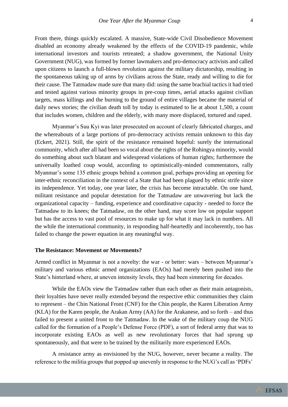From there, things quickly escalated. A massive, State-wide Civil Disobedience Movement disabled an economy already weakened by the effects of the COVID-19 pandemic, while international investors and tourists retreated; a shadow government, the National Unity Government (NUG), was formed by former lawmakers and pro-democracy activists and called upon citizens to launch a full-blown revolution against the military dictatorship, resulting in the spontaneous taking up of arms by civilians across the State, ready and willing to die for their cause. The Tatmadaw made sure that many did: using the same brachial tactics it had tried and tested against various minority groups in pre-coup times, aerial attacks against civilian targets, mass killings and the burning to the ground of entire villages became the material of daily news stories; the civilian death toll by today is estimated to lie at about 1,500, a count that includes women, children and the elderly, with many more displaced, tortured and raped.

Myanmar's Suu Kyi was later prosecuted on account of clearly fabricated charges, and the whereabouts of a large portions of pro-democracy activists remain unknown to this day (Eckert, 2021)*.* Still, the spirit of the resistance remained hopeful: surely the international community, which after all had been so vocal about the rights of the Rohingya minority, would do something about such blatant and widespread violations of human rights; furthermore the universally loathed coup would, according to optimistically-minded commentators, rally Myanmar's some 135 ethnic groups behind a common goal, perhaps providing an opening for inter-ethnic reconciliation in the context of a State that had been plagued by ethnic strife since its independence. Yet today, one year later, the crisis has become intractable. On one hand, militant resistance and popular detestation for the Tatmadaw are unwavering but lack the organizational capacity – funding, experience and coordinative capacity - needed to force the Tatmadaw to its knees; the Tatmadaw, on the other hand, may score low on popular support but has the access to vast pool of resources to make up for what it may lack in numbers. All the while the international community, in responding half-heartedly and incoherently, too has failed to change the power equation in any meaningful way.

#### **The Resistance: Movement or Movements?**

Armed conflict in Myanmar is not a novelty: the war - or better: wars – between Myanmar's military and various ethnic armed organizations (EAOs) had merely been pushed into the State's hinterland where, at uneven intensity levels, they had been simmering for decades.

While the EAOs view the Tatmadaw rather than each other as their main antagonists, their loyalties have never really extended beyond the respective ethic communities they claim to represent – the Chin National Front (CNF) for the Chin people, the Karen Liberation Army (KLA) for the Karen people, the Arakan Army (AA) for the Arakanese, and so forth – and thus failed to present a united front to the Tatmadaw. In the wake of the military coup the NUG called for the formation of a People's Defense Force (PDF), a sort of federal army that was to incorporate existing EAOs as well as new revolutionary forces that had sprung up spontaneously, and that were to be trained by the militarily more experienced EAOs.

A resistance army as envisioned by the NUG, however, never became a reality. The reference to the militia groups that popped up unevenly in response to the NUG's call as 'PDFs'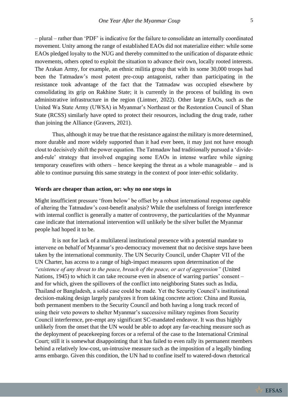– plural – rather than 'PDF' is indicative for the failure to consolidate an internally coordinated movement. Unity among the range of established EAOs did not materialize either: while some EAOs pledged loyalty to the NUG and thereby committed to the unification of disparate ethnic movements, others opted to exploit the situation to advance their own, locally rooted interests. The Arakan Army, for example, an ethnic militia group that with its some 30,000 troops had been the Tatmadaw's most potent pre-coup antagonist, rather than participating in the resistance took advantage of the fact that the Tatmadaw was occupied elsewhere by consolidating its grip on Rakhine State; it is currently in the process of building its own administrative infrastructure in the region (Lintner, 2022). Other large EAOs, such as the United Wa State Army (UWSA) in Myanmar's Northeast or the Restoration Council of Shan State (RCSS) similarly have opted to protect their resources, including the drug trade, rather than joining the Alliance (Gravers, 2021).

Thus, although it may be true that the resistance against the military is more determined, more durable and more widely supported than it had ever been, it may just not have enough clout to decisively shift the power equation. The Tatmadaw had traditionally pursued a 'divideand-rule' strategy that involved engaging some EAOs in intense warfare while signing temporary ceasefires with others – hence keeping the threat as a whole manageable – and is able to continue pursuing this same strategy in the context of poor inter-ethic solidarity.

#### **Words are cheaper than action, or: why no one steps in**

Might insufficient pressure 'from below' be offset by a robust international response capable of altering the Tatmadaw's cost-benefit analysis? While the usefulness of foreign interference with internal conflict is generally a matter of controversy, the particularities of the Myanmar case indicate that international intervention will unlikely be the silver bullet the Myanmar people had hoped it to be.

It is not for lack of a multilateral institutional presence with a potential mandate to intervene on behalf of Myanmar's pro-democracy movement that no decisive steps have been taken by the international community. The UN Security Council, under Chapter VII of the UN Charter, has access to a range of high-impact measures upon determination of the *"existence of any threat to the peace, breach of the peace, or act of aggression"* (United Nations, 1945) to which it can take recourse even in absence of warring parties' consent – and for which, given the spillovers of the conflict into neighboring States such as India, Thailand or Bangladesh, a solid case could be made. Yet the Security Council's institutional decision-making design largely paralyzes it from taking concrete action: China and Russia, both permanent members to the Security Council and both having a long track record of using their veto powers to shelter Myanmar's successive military regimes from Security Council interference, pre-empt any significant SC-mandated endeavor. It was thus highly unlikely from the onset that the UN would be able to adopt any far-reaching measure such as the deployment of peacekeeping forces or a referral of the case to the International Criminal Court; still it is somewhat disappointing that it has failed to even rally its permanent members behind a relatively low-cost, un-intrusive measure such as the imposition of a legally binding arms embargo. Given this condition, the UN had to confine itself to watered-down rhetorical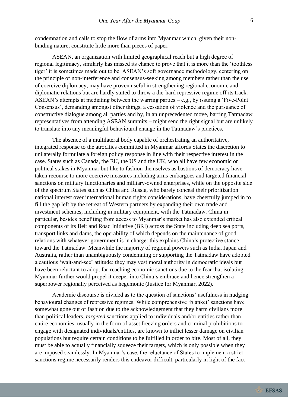condemnation and calls to stop the flow of arms into Myanmar which, given their nonbinding nature, constitute little more than pieces of paper.

ASEAN, an organization with limited geographical reach but a high degree of regional legitimacy, similarly has missed its chance to prove that it is more than the 'toothless tiger' it is sometimes made out to be. ASEAN's soft governance methodology, centering on the principle of non-interference and consensus-seeking among members rather than the use of coercive diplomacy, may have proven useful in strengthening regional economic and diplomatic relations but are hardly suited to throw a die-hard repressive regime off its track. ASEAN's attempts at mediating between the warring parties – e.g., by issuing a 'Five-Point Consensus', demanding amongst other things, a cessation of violence and the pursuance of constructive dialogue among all parties and by, in an unprecedented move, barring Tatmadaw representatives from attending ASEAN summits – might send the right signal but are unlikely to translate into any meaningful behavioural change in the Tatmadaw's practices.

The absence of a multilateral body capable of orchestrating an authoritative, integrated response to the atrocities committed in Myanmar affords States the discretion to unilaterally formulate a foreign policy response in line with their respective interest in the case. States such as Canada, the EU, the US and the UK, who all have few economic or political stakes in Myanmar but like to fashion themselves as bastions of democracy have taken recourse to more coercive measures including arms embargoes and targeted financial sanctions on military functionaries and military-owned enterprises, while on the opposite side of the spectrum States such as China and Russia, who barely conceal their prioritization national interest over international human rights considerations, have cheerfully jumped in to fill the gap left by the retreat of Western partners by expanding their own trade and investment schemes, including in military equipment, with the Tatmadaw. China in particular, besides benefiting from access to Myanmar's market has also extended critical components of its Belt and Road Initiative (BRI) across the State including deep sea ports, transport links and dams, the operability of which depends on the maintenance of good relations with whatever government is in charge: this explains China's protective stance toward the Tatmadaw. Meanwhile the majority of regional powers such as India, Japan and Australia, rather than unambiguously condemning or supporting the Tatmadaw have adopted a cautious 'wait-and-see' attitude: they may vest moral authority in democratic ideals but have been reluctant to adopt far-reaching economic sanctions due to the fear that isolating Myanmar further would propel it deeper into China's embrace and hence strengthen a superpower regionally perceived as hegemonic (Justice for Myanmar, 2022).

Academic discourse is divided as to the question of sanctions' usefulness in nudging behavioural changes of repressive regimes. While comprehensive 'blanket' sanctions have somewhat gone out of fashion due to the acknowledgement that they harm civilians more than political leaders, *targeted* sanctions applied to individuals and/or entities rather than entire economies, usually in the form of asset freezing orders and criminal prohibitions to engage with designated individuals/entities, are known to inflict lesser damage on civilian populations but require certain conditions to be fulfilled in order to bite. Most of all, they must be able to actually financially squeeze their targets, which is only possible when they are imposed seamlessly. In Myanmar's case, the reluctance of States to implement a strict sanctions regime necessarily renders this endeavor difficult, particularly in light of the fact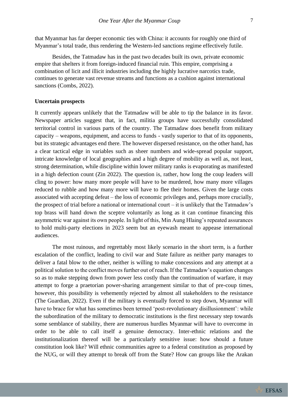that Myanmar has far deeper economic ties with China: it accounts for roughly one third of Myanmar's total trade, thus rendering the Western-led sanctions regime effectively futile.

Besides, the Tatmadaw has in the past two decades built its own, private economic empire that shelters it from foreign-induced financial ruin. This empire, comprising a combination of licit and illicit industries including the highly lucrative narcotics trade, continues to generate vast revenue streams and functions as a cushion against international sanctions (Combs, 2022).

#### **Uncertain prospects**

It currently appears unlikely that the Tatmadaw will be able to tip the balance in its favor. Newspaper articles suggest that, in fact, militia groups have successfully consolidated territorial control in various parts of the country. The Tatmadaw does benefit from military capacity – weapons, equipment, and access to funds - vastly superior to that of its opponents, but its strategic advantages end there. The however dispersed resistance, on the other hand, has a clear tactical edge in variables such as sheer numbers and wide-spread popular support, intricate knowledge of local geographies and a high degree of mobility as well as, not least, strong determination, while discipline within lower military ranks is evaporating as manifested in a high defection count (Zin 2022). The question is, rather, how long the coup leaders will cling to power: how many more people will have to be murdered, how many more villages reduced to rubble and how many more will have to flee their homes. Given the large costs associated with accepting defeat – the loss of economic privileges and, perhaps more crucially, the prospect of trial before a national or international court – it is unlikely that the Tatmadaw's top brass will hand down the sceptre voluntarily as long as it can continue financing this asymmetric war against its own people. In light of this, Min Aung Hlaing's repeated assurances to hold multi-party elections in 2023 seem but an eyewash meant to appease international audiences.

The most ruinous, and regrettably most likely scenario in the short term, is a further escalation of the conflict, leading to civil war and State failure as neither party manages to deliver a fatal blow to the other, neither is willing to make concessions and any attempt at a political solution to the conflict moves further out of reach. If the Tatmadaw's equation changes so as to make stepping down from power less costly than the continuation of warfare, it may attempt to forge a praetorian power-sharing arrangement similar to that of pre-coup times, however, this possibility is vehemently rejected by almost all stakeholders to the resistance (The Guardian, 2022). Even if the military is eventually forced to step down, Myanmar will have to brace for what has sometimes been termed 'post-revolutionary disillusionment': while the subordination of the military to democratic institutions is the first necessary step towards some semblance of stability, there are numerous hurdles Myanmar will have to overcome in order to be able to call itself a genuine democracy. Inter-ethnic relations and the institutionalization thereof will be a particularly sensitive issue: how should a future constitution look like? Will ethnic communities agree to a federal constitution as proposed by the NUG, or will they attempt to break off from the State? How can groups like the Arakan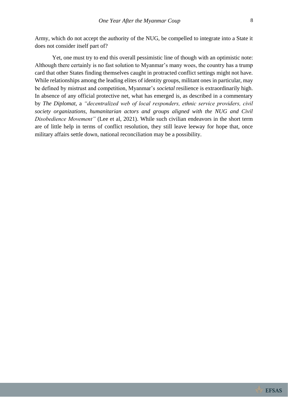Army, which do not accept the authority of the NUG, be compelled to integrate into a State it does not consider itself part of?

Yet, one must try to end this overall pessimistic line of though with an optimistic note: Although there certainly is no fast solution to Myanmar's many woes, the country has a trump card that other States finding themselves caught in protracted conflict settings might not have. While relationships among the leading elites of identity groups, militant ones in particular, may be defined by mistrust and competition, Myanmar's *societal* resilience is extraordinarily high. In absence of any official protective net, what has emerged is, as described in a commentary by *The Diplomat,* a *"decentralized web of local responders, ethnic service providers, civil society organizations, humanitarian actors and groups aligned with the NUG and Civil Disobedience Movement"* (Lee et al, 2021). While such civilian endeavors in the short term are of little help in terms of conflict resolution, they still leave leeway for hope that, once military affairs settle down, national reconciliation may be a possibility.